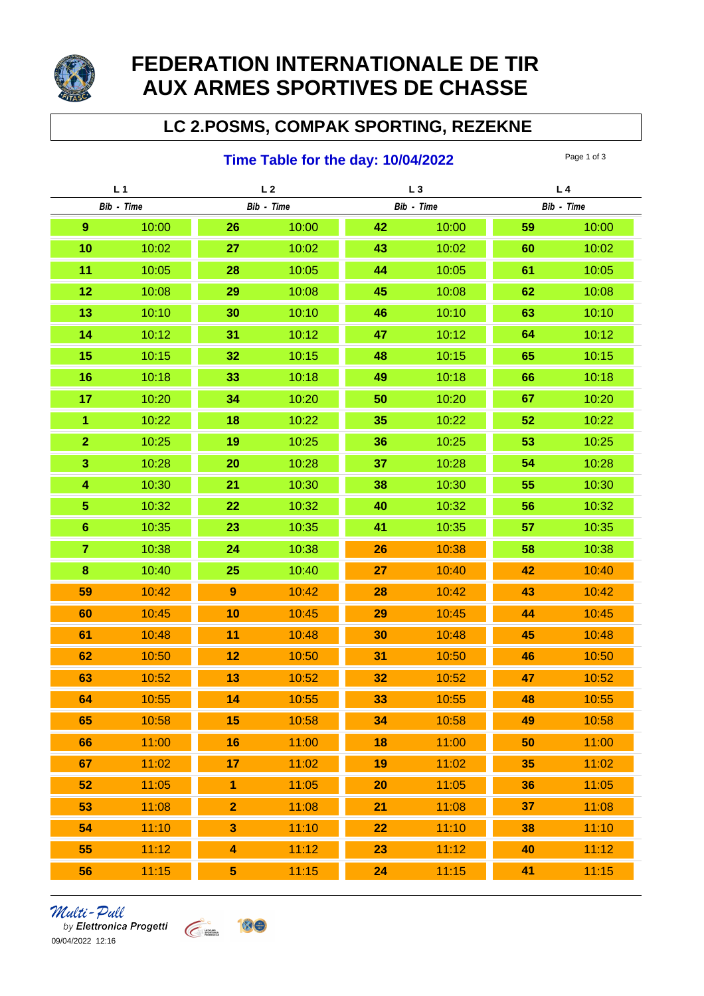

## **FEDERATION INTERNATIONALE DE TIR AUX ARMES SPORTIVES DE CHASSE**

## **LC 2.POSMS, COMPAK SPORTING, REZEKNE**

## **Time Table for the day: 10/04/2022** Page 1 of 3

| L <sub>1</sub>          |       | L <sub>2</sub>          |       | $L_3$      |       | L <sub>4</sub> |       |
|-------------------------|-------|-------------------------|-------|------------|-------|----------------|-------|
| Bib - Time              |       | Bib - Time              |       | Bib - Time |       | Bib - Time     |       |
| $\boldsymbol{9}$        | 10:00 | 26                      | 10:00 | 42         | 10:00 | 59             | 10:00 |
| 10                      | 10:02 | 27                      | 10:02 | 43         | 10:02 | 60             | 10:02 |
| 11                      | 10:05 | 28                      | 10:05 | 44         | 10:05 | 61             | 10:05 |
| 12                      | 10:08 | 29                      | 10:08 | 45         | 10:08 | 62             | 10:08 |
| 13                      | 10:10 | 30                      | 10:10 | 46         | 10:10 | 63             | 10:10 |
| 14                      | 10:12 | 31                      | 10:12 | 47         | 10:12 | 64             | 10:12 |
| 15                      | 10:15 | 32                      | 10:15 | 48         | 10:15 | 65             | 10:15 |
| 16                      | 10:18 | 33                      | 10:18 | 49         | 10:18 | 66             | 10:18 |
| 17                      | 10:20 | 34                      | 10:20 | 50         | 10:20 | 67             | 10:20 |
| $\overline{1}$          | 10:22 | 18                      | 10:22 | 35         | 10:22 | 52             | 10:22 |
| $\overline{2}$          | 10:25 | 19                      | 10:25 | 36         | 10:25 | 53             | 10:25 |
| 3                       | 10:28 | 20                      | 10:28 | 37         | 10:28 | 54             | 10:28 |
| $\overline{\mathbf{4}}$ | 10:30 | 21                      | 10:30 | 38         | 10:30 | 55             | 10:30 |
| $\overline{5}$          | 10:32 | 22                      | 10:32 | 40         | 10:32 | 56             | 10:32 |
| $6\phantom{1}$          | 10:35 | 23                      | 10:35 | 41         | 10:35 | 57             | 10:35 |
| $\overline{7}$          | 10:38 | 24                      | 10:38 | 26         | 10:38 | 58             | 10:38 |
| $\bf8$                  | 10:40 | 25                      | 10:40 | 27         | 10:40 | 42             | 10:40 |
| 59                      | 10:42 | $\boldsymbol{9}$        | 10:42 | 28         | 10:42 | 43             | 10:42 |
| 60                      | 10:45 | 10                      | 10:45 | 29         | 10:45 | 44             | 10:45 |
| 61                      | 10:48 | 11                      | 10:48 | 30         | 10:48 | 45             | 10:48 |
| 62                      | 10:50 | 12                      | 10:50 | 31         | 10:50 | 46             | 10:50 |
| 63                      | 10:52 | 13                      | 10:52 | 32         | 10:52 | 47             | 10:52 |
| 64                      | 10:55 | 14                      | 10:55 | 33         | 10:55 | 48             | 10:55 |
| 65                      | 10:58 | 15                      | 10:58 | 34         | 10:58 | 49             | 10:58 |
| 66                      | 11:00 | 16                      | 11:00 | 18         | 11:00 | 50             | 11:00 |
| 67                      | 11:02 | 17                      | 11:02 | 19         | 11:02 | 35             | 11:02 |
| 52                      | 11:05 | $\overline{\mathbf{1}}$ | 11:05 | 20         | 11:05 | 36             | 11:05 |
| 53                      | 11:08 | $\overline{2}$          | 11:08 | 21         | 11:08 | 37             | 11:08 |
| 54                      | 11:10 | $\overline{\mathbf{3}}$ | 11:10 | 22         | 11:10 | 38             | 11:10 |
| 55                      | 11:12 | 4                       | 11:12 | 23         | 11:12 | 40             | 11:12 |
| 56                      | 11:15 | 5 <sub>5</sub>          | 11:15 | 24         | 11:15 | 41             | 11:15 |

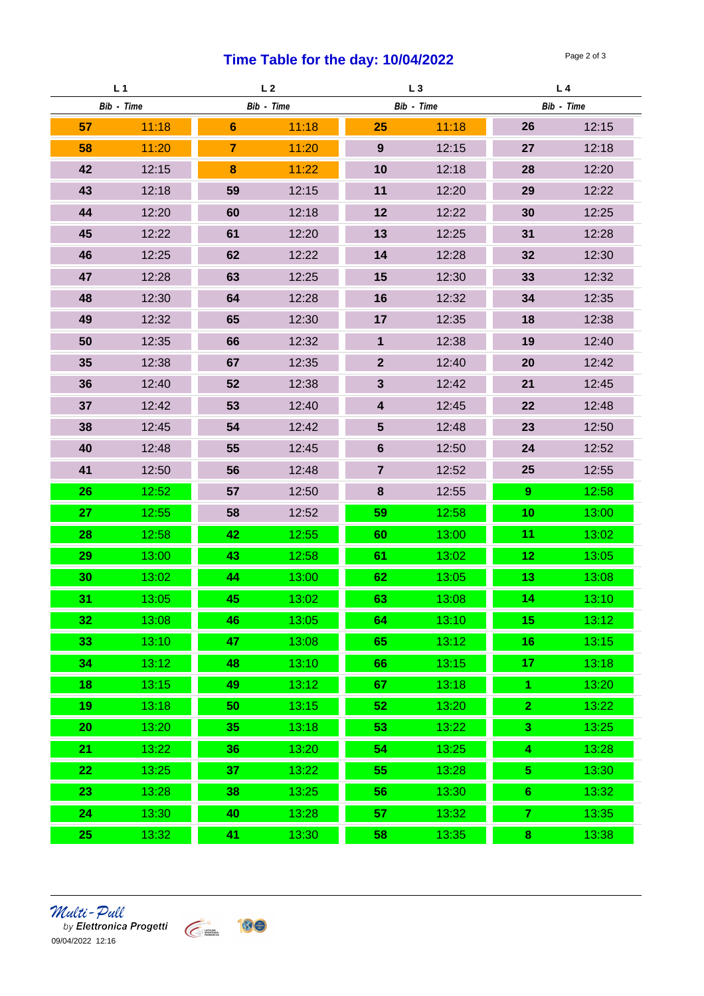## **Time Table for the day: 10/04/2022** Page 2 of 3

| L <sub>1</sub> |       | L <sub>2</sub>  |       | $L_3$                   |       | L <sub>4</sub>  |       |
|----------------|-------|-----------------|-------|-------------------------|-------|-----------------|-------|
| Bib - Time     |       | Bib - Time      |       | Bib - Time              |       | Bib - Time      |       |
| 57             | 11:18 | $6\phantom{1}6$ | 11:18 | 25                      | 11:18 | 26              | 12:15 |
| 58             | 11:20 | $\overline{7}$  | 11:20 | 9                       | 12:15 | 27              | 12:18 |
| 42             | 12:15 | 8               | 11:22 | 10                      | 12:18 | 28              | 12:20 |
| 43             | 12:18 | 59              | 12:15 | 11                      | 12:20 | 29              | 12:22 |
| 44             | 12:20 | 60              | 12:18 | 12                      | 12:22 | 30              | 12:25 |
| 45             | 12:22 | 61              | 12:20 | 13                      | 12:25 | 31              | 12:28 |
| 46             | 12:25 | 62              | 12:22 | 14                      | 12:28 | 32              | 12:30 |
| 47             | 12:28 | 63              | 12:25 | 15                      | 12:30 | 33              | 12:32 |
| 48             | 12:30 | 64              | 12:28 | 16                      | 12:32 | 34              | 12:35 |
| 49             | 12:32 | 65              | 12:30 | 17                      | 12:35 | 18              | 12:38 |
| 50             | 12:35 | 66              | 12:32 | $\mathbf{1}$            | 12:38 | 19              | 12:40 |
| 35             | 12:38 | 67              | 12:35 | 2 <sup>1</sup>          | 12:40 | 20              | 12:42 |
| 36             | 12:40 | 52              | 12:38 | $\mathbf{3}$            | 12:42 | 21              | 12:45 |
| 37             | 12:42 | 53              | 12:40 | $\overline{\mathbf{4}}$ | 12:45 | 22              | 12:48 |
| 38             | 12:45 | 54              | 12:42 | 5 <sup>5</sup>          | 12:48 | 23              | 12:50 |
| 40             | 12:48 | 55              | 12:45 | 6                       | 12:50 | 24              | 12:52 |
| 41             | 12:50 | 56              | 12:48 | $\overline{7}$          | 12:52 | 25              | 12:55 |
| 26             | 12:52 | 57              | 12:50 | 8                       | 12:55 | 9 <sup>°</sup>  | 12:58 |
| 27             | 12:55 | 58              | 12:52 | 59                      | 12:58 | 10              | 13:00 |
| 28             | 12:58 | 42              | 12:55 | 60                      | 13:00 | 11              | 13:02 |
| 29             | 13:00 | 43              | 12:58 | 61                      | 13:02 | 12 <sub>2</sub> | 13:05 |
| 30             | 13:02 | 44              | 13:00 | 62                      | 13:05 | 13              | 13:08 |
| 31             | 13:05 | 45              | 13:02 | 63                      | 13:08 | 14              | 13:10 |
| 32             | 13:08 | 46              | 13:05 | 64                      | 13:10 | 15              | 13:12 |
| 33             | 13:10 | 47              | 13:08 | 65                      | 13:12 | 16              | 13:15 |
| 34             | 13:12 | 48              | 13:10 | 66                      | 13:15 | 17              | 13:18 |
| 18             | 13:15 | 49              | 13:12 | 67                      | 13:18 | $\overline{1}$  | 13:20 |
| 19             | 13:18 | 50              | 13:15 | 52                      | 13:20 | $\overline{2}$  | 13:22 |
| 20             | 13:20 | 35 <sub>5</sub> | 13:18 | 53                      | 13:22 | $\mathbf{3}$    | 13:25 |
| 21             | 13:22 | 36              | 13:20 | 54                      | 13:25 | 4               | 13:28 |
| 22             | 13:25 | 37              | 13:22 | 55                      | 13:28 | 5 <sub>5</sub>  | 13:30 |
| 23             | 13:28 | 38              | 13:25 | 56                      | 13:30 | $6\phantom{a}$  | 13:32 |
| 24             | 13:30 | 40              | 13:28 | 57                      | 13:32 | $\overline{7}$  | 13:35 |
| 25             | 13:32 | 41              | 13:30 | 58                      | 13:35 | 8               | 13:38 |